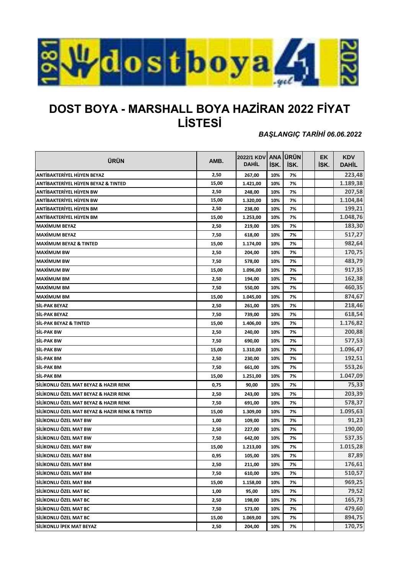

## **DOST BOYA - MARSHALL BOYA HAZİRAN 2022 FİYAT LİSTESİ**

*BAŞLANGIÇ TARİHİ 06.06.2022* 

| ÜRÜN                                           | AMB.  | 2022/1 KDV ANA ÜRÜN<br><b>DAHIL</b> | ISK. | ISK. | <b>EK</b><br>isk. | <b>KDV</b><br><b>DAHİL</b> |
|------------------------------------------------|-------|-------------------------------------|------|------|-------------------|----------------------------|
| ANTİBAKTERİYEL HİJYEN BEYAZ                    | 2,50  | 267,00                              | 10%  | 7%   |                   | 223,48                     |
| ANTİBAKTERİYEL HİJYEN BEYAZ & TINTED           | 15,00 | 1.421,00                            | 10%  | 7%   |                   | 1.189,38                   |
| <b>ANTIBAKTERIYEL HIJYEN BW</b>                | 2,50  | 248,00                              | 10%  | 7%   |                   | 207,58                     |
| <b>ANTIBAKTERIYEL HIJYEN BW</b>                | 15,00 | 1.320,00                            | 10%  | 7%   |                   | 1.104,84                   |
| ANTİBAKTERİYEL HİJYEN BM                       | 2,50  | 238,00                              | 10%  | 7%   |                   | 199,21                     |
| ANTİBAKTERİYEL HİJYEN BM                       | 15,00 | 1.253,00                            | 10%  | 7%   |                   | 1.048,76                   |
| <b>MAXIMUM BEYAZ</b>                           | 2,50  | 219,00                              | 10%  | 7%   |                   | 183,30                     |
| <b>MAXIMUM BEYAZ</b>                           | 7,50  | 618,00                              | 10%  | 7%   |                   | 517,27                     |
| <b>MAXIMUM BEYAZ &amp; TINTED</b>              | 15,00 | 1.174,00                            | 10%  | 7%   |                   | 982,64                     |
| <b>MAXIMUM BW</b>                              | 2,50  | 204,00                              | 10%  | 7%   |                   | 170,75                     |
| <b>MAXIMUM BW</b>                              | 7,50  | 578,00                              | 10%  | 7%   |                   | 483,79                     |
| <b>MAXIMUM BW</b>                              | 15,00 | 1.096,00                            | 10%  | 7%   |                   | 917,35                     |
| <b>MAXIMUM BM</b>                              | 2,50  | 194,00                              | 10%  | 7%   |                   | 162,38                     |
| <b>MAXIMUM BM</b>                              | 7,50  | 550,00                              | 10%  | 7%   |                   | 460,35                     |
| <b>MAXIMUM BM</b>                              | 15,00 | 1.045,00                            | 10%  | 7%   |                   | 874,67                     |
| SİL-PAK BEYAZ                                  | 2,50  | 261,00                              | 10%  | 7%   |                   | 218,46                     |
| SİL-PAK BEYAZ                                  | 7,50  | 739,00                              | 10%  | 7%   |                   | 618,54                     |
| <b>SİL-PAK BEYAZ &amp; TINTED</b>              | 15,00 | 1.406,00                            | 10%  | 7%   |                   | 1.176,82                   |
| <b>SIL-PAK BW</b>                              | 2,50  | 240,00                              | 10%  | 7%   |                   | 200,88                     |
| <b>SİL-PAK BW</b>                              | 7,50  | 690,00                              | 10%  | 7%   |                   | 577,53                     |
| <b>SIL-PAK BW</b>                              | 15,00 | 1.310,00                            | 10%  | 7%   |                   | 1.096,47                   |
| SİL-PAK BM                                     | 2,50  | 230,00                              | 10%  | 7%   |                   | 192,51                     |
| SİL-PAK BM                                     | 7,50  | 661,00                              | 10%  | 7%   |                   | 553,26                     |
| SİL-PAK BM                                     | 15,00 | 1.251,00                            | 10%  | 7%   |                   | 1.047,09                   |
| SİLİKONLU ÖZEL MAT BEYAZ & HAZIR RENK          | 0,75  | 90,00                               | 10%  | 7%   |                   | 75,33                      |
| SİLİKONLU ÖZEL MAT BEYAZ & HAZIR RENK          | 2,50  | 243,00                              | 10%  | 7%   |                   | 203,39                     |
| SİLİKONLU ÖZEL MAT BEYAZ & HAZIR RENK          | 7,50  | 691,00                              | 10%  | 7%   |                   | 578,37                     |
| SİLİKONLU ÖZEL MAT BEYAZ & HAZIR RENK & TINTED | 15,00 | 1.309,00                            | 10%  | 7%   |                   | 1.095,63                   |
| SİLİKONLU ÖZEL MAT BW                          | 1,00  | 109,00                              | 10%  | 7%   |                   | 91,23                      |
| SİLİKONLU ÖZEL MAT BW                          | 2,50  | 227,00                              | 10%  | 7%   |                   | 190,00                     |
| SİLİKONLU ÖZEL MAT BW                          | 7,50  | 642,00                              | 10%  | 7%   |                   | 537,35                     |
| SİLİKONLU ÖZEL MAT BW                          | 15,00 | 1.213,00                            | 10%  | 7%   |                   | 1.015,28                   |
| SİLİKONLU ÖZEL MAT BM                          | 0,95  | 105,00                              | 10%  | 7%   |                   | 87,89                      |
| SİLİKONLU ÖZEL MAT BM                          | 2,50  | 211,00                              | 10%  | 7%   |                   | 176,61                     |
| SİLİKONLU ÖZEL MAT BM                          | 7,50  | 610,00                              | 10%  | 7%   |                   | 510,57                     |
| SİLİKONLU ÖZEL MAT BM                          | 15,00 | 1.158,00                            | 10%  | 7%   |                   | 969,25                     |
| SİLİKONLU ÖZEL MAT BC                          | 1,00  | 95,00                               | 10%  | 7%   |                   | 79,52                      |
| SİLİKONLU ÖZEL MAT BC                          | 2,50  | 198,00                              | 10%  | 7%   |                   | 165,73                     |
| SİLİKONLU ÖZEL MAT BC                          | 7,50  | 573,00                              | 10%  | 7%   |                   | 479,60                     |
| SİLİKONLU ÖZEL MAT BC                          | 15,00 | 1.069,00                            | 10%  | 7%   |                   | 894,75                     |
| SİLİKONLU İPEK MAT BEYAZ                       | 2,50  | 204,00                              | 10%  | 7%   |                   | 170,75                     |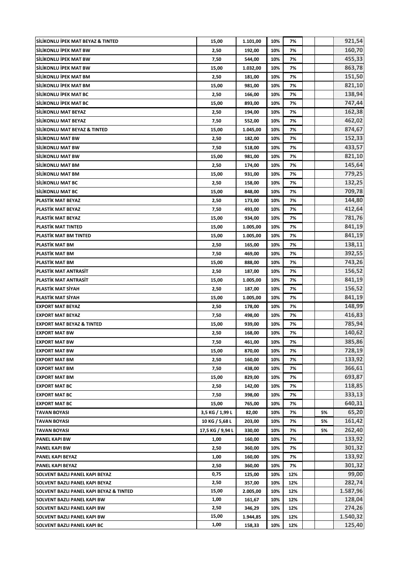| SİLİKONLU İPEK MAT BEYAZ & TINTED       | 15,00            | 1.101,00 | 10%        | 7%       |    | 921,54           |
|-----------------------------------------|------------------|----------|------------|----------|----|------------------|
| SİLİKONLU İPEK MAT BW                   | 2,50             | 192,00   | 10%        | 7%       |    | 160,70           |
| SİLİKONLU İPEK MAT BW                   | 7,50             | 544,00   | 10%        | 7%       |    | 455,33           |
| SİLİKONLU İPEK MAT BW                   | 15,00            | 1.032,00 | 10%        | 7%       |    | 863,78           |
| SİLİKONLU İPEK MAT BM                   | 2,50             | 181,00   | 10%        | 7%       |    | 151,50           |
| SİLİKONLU İPEK MAT BM                   | 15,00            | 981,00   | 10%        | 7%       |    | 821,10           |
| SİLİKONLU İPEK MAT BC                   | 2,50             | 166,00   | 10%        | 7%       |    | 138,94           |
| SİLİKONLU İPEK MAT BC                   | 15,00            | 893,00   | 10%        | 7%       |    | 747,44           |
| SİLİKONLU MAT BEYAZ                     | 2,50             | 194,00   | 10%        | 7%       |    | 162,38           |
| SİLİKONLU MAT BEYAZ                     | 7,50             | 552,00   | 10%        | 7%       |    | 462,02           |
| lSİLİKONLU MAT BEYAZ & TINTED           | 15,00            | 1.045,00 | 10%        | 7%       |    | 874,67           |
| SİLİKONLU MAT BW                        | 2,50             | 182,00   | 10%        | 7%       |    | 152,33           |
| SİLİKONLU MAT BW                        | 7,50             | 518,00   | 10%        | 7%       |    | 433,57           |
| <b>SİLİKONLU MAT BW</b>                 | 15,00            | 981,00   | 10%        | 7%       |    | 821,10           |
| <b>SİLİKONLU MAT BM</b>                 | 2,50             | 174,00   | 10%        | 7%       |    | 145,64           |
| <b>SİLİKONLU MAT BM</b>                 | 15,00            | 931,00   | 10%        | 7%       |    | 779,25           |
| <b>SİLİKONLU MAT BC</b>                 | 2,50             | 158,00   | 10%        | 7%       |    | 132,25           |
| <b>SİLİKONLU MAT BC</b>                 | 15,00            | 848,00   | 10%        | 7%       |    | 709,78           |
| PLASTIK MAT BEYAZ                       | 2,50             | 173,00   | 10%        | 7%       |    | 144,80           |
| PLASTIK MAT BEYAZ                       | 7,50             | 493,00   | 10%        | 7%       |    | 412,64           |
| PLASTIK MAT BEYAZ                       | 15,00            | 934,00   | 10%        | 7%       |    | 781,76           |
| <b>PLASTIK MAT TINTED</b>               | 15,00            | 1.005,00 | 10%        | 7%       |    | 841,19           |
| PLASTIK MAT BM TINTED                   | 15,00            | 1.005,00 | 10%        | 7%       |    | 841,19           |
| PLASTİK MAT BM                          | 2,50             | 165,00   | 10%        | 7%       |    | 138,11           |
| <b>PLASTIK MAT BM</b>                   | 7,50             | 469,00   | 10%        | 7%       |    | 392,55           |
| <b>PLASTIK MAT BM</b>                   | 15,00            | 888,00   | 10%        | 7%       |    | 743,26           |
| PLASTIK MAT ANTRASIT                    | 2,50             | 187,00   | 10%        | 7%       |    | 156,52           |
| PLASTIK MAT ANTRASIT                    | 15,00            | 1.005,00 | 10%        | 7%       |    | 841,19           |
| PLASTIK MAT SIYAH                       | 2,50             | 187,00   | 10%        | 7%       |    | 156,52           |
| PLASTIK MAT SIYAH                       | 15,00            |          | 10%        | 7%       |    | 841,19           |
|                                         |                  | 1.005,00 | 10%        |          |    | 148,99           |
| <b>EXPORT MAT BEYAZ</b>                 | 2,50             | 178,00   |            | 7%       |    | 416,83           |
| <b>EXPORT MAT BEYAZ</b>                 | 7,50             | 498,00   | 10%        | 7%       |    |                  |
| <b>EXPORT MAT BEYAZ &amp; TINTED</b>    | 15,00            | 939,00   | 10%        | 7%       |    | 785,94<br>140,62 |
| <b>EXPORT MAT BW</b>                    | 2,50             | 168,00   | 10%<br>10% | 7%<br>7% |    |                  |
| <b>EXPORT MAT BW</b>                    | 7,50             | 461,00   |            |          |    | 385,86           |
| <b>EXPORT MAT BW</b>                    | 15,00            | 870,00   | 10%        | 7%       |    | 728,19           |
| <b>EXPORT MAT BM</b>                    | 2,50             | 160,00   | 10%        | 7%       |    | 133,92           |
| <b>EXPORT MAT BM</b>                    | 7,50             | 438,00   | 10%        | 7%       |    | 366,61           |
| <b>EXPORT MAT BM</b>                    | 15,00            | 829,00   | 10%        | 7%       |    | 693,87           |
| <b>EXPORT MAT BC</b>                    | 2,50             | 142,00   | 10%        | 7%       |    | 118,85           |
| <b>EXPORT MAT BC</b>                    | 7,50             | 398,00   | 10%        | 7%       |    | 333,13<br>640,31 |
| <b>EXPORT MAT BC</b>                    | 15,00            | 765,00   | 10%        | 7%       |    |                  |
| <b>TAVAN BOYASI</b>                     | 3,5 KG / 1,99 L  | 82,00    | 10%        | 7%       | 5% | 65,20            |
| <b>TAVAN BOYASI</b>                     | 10 KG / 5,68 L   | 203,00   | 10%        | 7%       | 5% | 161,42           |
| <b>TAVAN BOYASI</b>                     | 17,5 KG / 9,94 L | 330,00   | 10%        | 7%       | 5% | 262,40           |
| <b>PANEL KAPI BW</b>                    | 1,00             | 160,00   | 10%        | 7%       |    | 133,92           |
| <b>PANEL KAPI BW</b>                    | 2,50             | 360,00   | 10%        | 7%       |    | 301,32           |
| <b>PANEL KAPI BEYAZ</b>                 | 1,00             | 160,00   | 10%        | 7%       |    | 133,92           |
| <b>PANEL KAPI BEYAZ</b>                 | 2,50             | 360,00   | 10%        | 7%       |    | 301,32           |
| SOLVENT BAZLI PANEL KAPI BEYAZ          | 0,75             | 125,00   | 10%        | 12%      |    | 99,00            |
| SOLVENT BAZLI PANEL KAPI BEYAZ          | 2,50             | 357,00   | 10%        | 12%      |    | 282,74           |
| SOLVENT BAZLI PANEL KAPI BEYAZ & TINTED | 15,00            | 2.005,00 | 10%        | 12%      |    | 1.587,96         |
| SOLVENT BAZLI PANEL KAPI BW             | 1,00             | 161,67   | 10%        | 12%      |    | 128,04           |
| SOLVENT BAZLI PANEL KAPI BW             | 2,50             | 346,29   | 10%        | 12%      |    | 274,26           |
| SOLVENT BAZLI PANEL KAPI BW             | 15,00            | 1.944,85 | 10%        | 12%      |    | 1.540,32         |
| SOLVENT BAZLI PANEL KAPI BC             | 1,00             | 158,33   | 10%        | 12%      |    | 125,40           |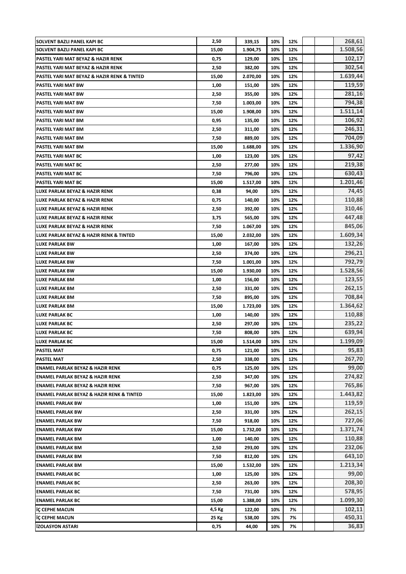| SOLVENT BAZLI PANEL KAPI BC                              | 2,50          | 339,15          | 10%        | 12%        |  | 268,61             |
|----------------------------------------------------------|---------------|-----------------|------------|------------|--|--------------------|
| SOLVENT BAZLI PANEL KAPI BC                              | 15,00         | 1.904,75        | 10%        | 12%        |  | 1.508,56           |
| PASTEL YARI MAT BEYAZ & HAZIR RENK                       | 0,75          | 129,00          | 10%        | 12%        |  | 102,17             |
| PASTEL YARI MAT BEYAZ & HAZIR RENK                       | 2,50          | 382,00          | 10%        | 12%        |  | 302,54             |
| PASTEL YARI MAT BEYAZ & HAZIR RENK & TINTED              | 15,00         | 2.070,00        | 10%        | 12%        |  | 1.639,44           |
| <b>PASTEL YARI MAT BW</b>                                | 1,00          | 151,00          | 10%        | 12%        |  | 119,59             |
| PASTEL YARI MAT BW                                       | 2,50          | 355,00          | 10%        | 12%        |  | 281,16             |
| PASTEL YARI MAT BW                                       | 7,50          | 1.003,00        | 10%        | 12%        |  | 794,38             |
| <b>PASTEL YARI MAT BW</b>                                | 15,00         | 1.908,00        | 10%        | 12%        |  | 1.511,14           |
| PASTEL YARI MAT BM                                       | 0,95          | 135,00          | 10%        | 12%        |  | 106,92             |
| PASTEL YARI MAT BM                                       | 2,50          | 311,00          | 10%        | 12%        |  | 246,31             |
| PASTEL YARI MAT BM                                       | 7,50          | 889,00          | 10%        | 12%        |  | 704,09             |
| PASTEL YARI MAT BM                                       | 15,00         | 1.688,00        | 10%        | 12%        |  | 1.336,90           |
| PASTEL YARI MAT BC                                       | 1,00          | 123,00          | 10%        | 12%        |  | 97,42              |
| PASTEL YARI MAT BC                                       | 2,50          | 277,00          | 10%        | 12%        |  | 219,38             |
| PASTEL YARI MAT BC                                       | 7,50          | 796,00          | 10%        | 12%        |  | 630,43             |
| PASTEL YARI MAT BC                                       | 15,00         | 1.517,00        | 10%        | 12%        |  | 1.201,46           |
| LUXE PARLAK BEYAZ & HAZIR RENK                           | 0,38          | 94,00           | 10%        | 12%        |  | 74,45              |
| LUXE PARLAK BEYAZ & HAZIR RENK                           | 0,75          | 140,00          | 10%        | 12%        |  | 110,88             |
| LUXE PARLAK BEYAZ & HAZIR RENK                           | 2,50          | 392,00          | 10%        | 12%        |  | 310,46             |
| LUXE PARLAK BEYAZ & HAZIR RENK                           | 3,75          | 565,00          | 10%        | 12%        |  | 447,48             |
| LUXE PARLAK BEYAZ & HAZIR RENK                           | 7,50          | 1.067,00        | 10%        | 12%        |  | 845,06             |
| LUXE PARLAK BEYAZ & HAZIR RENK & TINTED                  | 15,00         | 2.032,00        | 10%        | 12%        |  | 1.609,34           |
| <b>LUXE PARLAK BW</b>                                    | 1,00          | 167,00          | 10%        | 12%        |  | 132,26             |
| <b>LUXE PARLAK BW</b>                                    | 2,50          | 374,00          | 10%        | 12%        |  | 296,21             |
| <b>LUXE PARLAK BW</b>                                    | 7,50          | 1.001,00        | 10%        | 12%        |  | 792,79             |
| <b>LUXE PARLAK BW</b>                                    | 15,00         | 1.930,00        | 10%        | 12%        |  | 1.528,56           |
| <b>LUXE PARLAK BM</b>                                    | 1,00          | 156,00          | 10%        | 12%        |  | 123,55             |
| LUXE PARLAK BM                                           | 2,50          | 331,00          | 10%        | 12%        |  | 262,15             |
| LUXE PARLAK BM                                           | 7,50          | 895,00          | 10%        | 12%        |  | 708,84             |
| LUXE PARLAK BM                                           | 15,00         | 1.723,00        | 10%        | 12%        |  | 1.364,62           |
| <b>LUXE PARLAK BC</b>                                    | 1,00          | 140,00          | 10%        | 12%        |  | 110,88             |
| LUXE PARLAK BC                                           | 2,50          | 297,00          | 10%        | 12%        |  | 235,22             |
| <b>LUXE PARLAK BC</b>                                    | 7,50          | 808,00          | 10%        | 12%        |  | 639,94             |
| LUXE PARLAK BC                                           | 15,00         | 1.514,00        | 10%        | 12%        |  | 1.199,09           |
| <b>PASTEL MAT</b>                                        | 0,75          | 121,00          | 10%        | 12%        |  | 95,83              |
| <b>PASTEL MAT</b>                                        | 2,50          | 338,00          | 10%        | 12%        |  | 267,70             |
| <b>ENAMEL PARLAK BEYAZ &amp; HAZIR RENK</b>              | 0,75          | 125,00          | 10%        | 12%        |  | 99,00              |
| <b>ENAMEL PARLAK BEYAZ &amp; HAZIR RENK</b>              | 2,50          | 347,00          | 10%        | 12%        |  | 274,82             |
| <b>ENAMEL PARLAK BEYAZ &amp; HAZIR RENK</b>              | 7,50          | 967,00          | 10%        | 12%        |  | 765,86             |
| <b>ENAMEL PARLAK BEYAZ &amp; HAZIR RENK &amp; TINTED</b> | 15,00         | 1.823,00        | 10%        | 12%        |  | 1.443,82           |
| <b>ENAMEL PARLAK BW</b>                                  | 1,00          | 151,00          | 10%        | 12%        |  | 119,59             |
| <b>ENAMEL PARLAK BW</b>                                  | 2,50          | 331,00          | 10%        | 12%        |  | 262,15             |
| <b>ENAMEL PARLAK BW</b>                                  | 7,50          | 918,00          | 10%        | 12%        |  | 727,06             |
| <b>ENAMEL PARLAK BW</b>                                  | 15,00         | 1.732,00        | 10%        | 12%        |  | 1.371,74           |
| <b>ENAMEL PARLAK BM</b>                                  | 1,00          | 140,00          | 10%        | 12%        |  | 110,88             |
| <b>ENAMEL PARLAK BM</b>                                  | 2,50          | 293,00          | 10%        | 12%        |  | 232,06             |
|                                                          |               |                 |            |            |  |                    |
| <b>ENAMEL PARLAK BM</b>                                  | 7,50          | 812,00          | 10%<br>10% | 12%<br>12% |  | 643,10<br>1.213,34 |
| <b>ENAMEL PARLAK BM</b>                                  | 15,00         | 1.532,00        |            |            |  |                    |
| <b>ENAMEL PARLAK BC</b>                                  | 1,00          | 125,00          | 10%        | 12%        |  | 99,00              |
| <b>ENAMEL PARLAK BC</b>                                  | 2,50          | 263,00          | 10%<br>10% | 12%        |  | 208,30             |
| <b>ENAMEL PARLAK BC</b>                                  |               |                 |            | 12%        |  | 578,95             |
|                                                          | 7,50          | 731,00          |            |            |  |                    |
| <b>ENAMEL PARLAK BC</b>                                  | 15,00         | 1.388,00        | 10%        | 12%        |  | 1.099,30           |
| IÇ CEPHE MACUN                                           | 4,5 Kg        | 122,00          | 10%        | 7%         |  | 102,11             |
| IÇ CEPHE MACUN<br><b>IZOLASYON ASTARI</b>                | 25 Kg<br>0,75 | 538,00<br>44,00 | 10%<br>10% | 7%<br>7%   |  | 450,31<br>36,83    |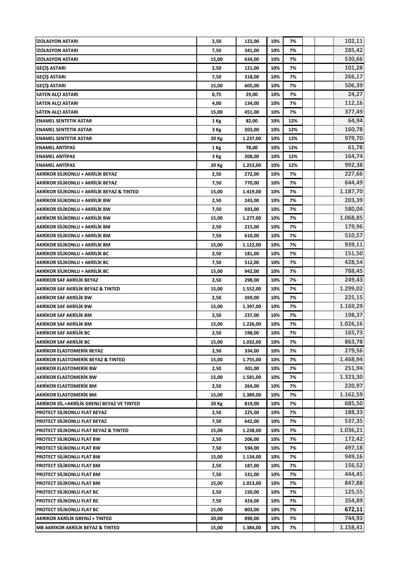| <b>IZOLASYON ASTARI</b>                               | 2,50  | 122,00   | 10% | 7%  |  | 102,11   |
|-------------------------------------------------------|-------|----------|-----|-----|--|----------|
| <b>İZOLASYON ASTARI</b>                               | 7,50  | 341,00   | 10% | 7%  |  | 285,42   |
| <b>İZOLASYON ASTARI</b>                               | 15,00 | 634,00   | 10% | 7%  |  | 530,66   |
| GEÇİŞ ASTARI                                          | 2,50  | 121,00   | 10% | 7%  |  | 101,28   |
| <b>GECIS ASTARI</b>                                   | 7,50  | 318,00   | 10% | 7%  |  | 266,17   |
| <b>GECIS ASTARI</b>                                   | 15,00 | 605,00   | 10% | 7%  |  | 506,39   |
| <b>SATEN ALÇI ASTARI</b>                              | 0,75  | 29,00    | 10% | 7%  |  | 24,27    |
| <b>SATEN ALÇI ASTARI</b>                              | 4,00  | 134,00   | 10% | 7%  |  | 112,16   |
| <b>SATEN ALÇI ASTARI</b>                              | 15,00 | 451,00   | 10% | 7%  |  | 377,49   |
| <b>ENAMEL SENTETIK ASTAR</b>                          | 1 Kg  | 82,00    | 10% | 12% |  | 64,94    |
| <b>ENAMEL SENTETIK ASTAR</b>                          | 3 Kg  | 203,00   | 10% | 12% |  | 160,78   |
| <b>ENAMEL SENTETIK ASTAR</b>                          | 20 Kg | 1.237,00 | 10% | 12% |  | 979,70   |
| <b>ENAMEL ANTIPAS</b>                                 | 1 Kg  | 78,00    | 10% | 12% |  | 61,78    |
| <b>ENAMEL ANTIPAS</b>                                 | 3 Kg  | 208,00   | 10% | 12% |  | 164,74   |
| <b>ENAMEL ANTIPAS</b>                                 | 20 Kg | 1.253,00 | 10% | 12% |  | 992,38   |
| <b>AKRİKOR SİLİKONLU + AKRİLİK BEYAZ</b>              | 2,50  | 272,00   | 10% | 7%  |  | 227,66   |
| <b>AKRİKOR SİLİKONLU + AKRİLİK BEYAZ</b>              | 7,50  | 770,00   | 10% | 7%  |  | 644,49   |
| <b>AKRİKOR SİLİKONLU + AKRİLİK BEYAZ &amp; TINTED</b> | 15,00 | 1.419,00 | 10% | 7%  |  | 1.187,70 |
| AKRİKOR SİLİKONLU + AKRİLİK BW                        | 2,50  | 243,00   | 10% | 7%  |  | 203,39   |
| AKRİKOR SİLİKONLU + AKRİLİK BW                        | 7,50  | 693,00   | 10% | 7%  |  | 580,04   |
| <b>AKRİKOR SİLİKONLU + AKRİLİK BW</b>                 | 15,00 | 1.277,00 | 10% | 7%  |  | 1.068,85 |
| <b>AKRİKOR SİLİKONLU + AKRİLİK BM</b>                 | 2,50  | 215,00   | 10% | 7%  |  | 179,96   |
| <b>AKRİKOR SİLİKONLU + AKRİLİK BM</b>                 | 7,50  | 610,00   | 10% | 7%  |  | 510,57   |
| <b>AKRİKOR SİLİKONLU + AKRİLİK BM</b>                 | 15,00 | 1.122,00 | 10% | 7%  |  | 939,11   |
| <b>AKRİKOR SİLİKONLU + AKRİLİK BC</b>                 | 2,50  | 181,00   | 10% | 7%  |  | 151,50   |
| <b>AKRİKOR SİLİKONLU + AKRİLİK BC</b>                 | 7,50  | 512,00   | 10% | 7%  |  | 428,54   |
| <b>AKRİKOR SİLİKONLU + AKRİLİK BC</b>                 | 15,00 | 942,00   | 10% | 7%  |  | 788,45   |
| <b>AKRİKOR SAF AKRİLİK BEYAZ</b>                      | 2,50  | 298,00   | 10% | 7%  |  | 249,43   |
| <b>AKRİKOR SAF AKRİLİK BEYAZ &amp; TINTED</b>         | 15,00 | 1.552,00 | 10% | 7%  |  | 1.299,02 |
| <b>AKRİKOR SAF AKRİLİK BW</b>                         | 2,50  | 269,00   | 10% | 7%  |  | 225,15   |
| <b>AKRİKOR SAF AKRİLİK BW</b>                         | 15,00 | 1.397,00 | 10% | 7%  |  | 1.169,29 |
| <b>AKRİKOR SAF AKRİLİK BM</b>                         | 2,50  | 237,00   | 10% | 7%  |  | 198,37   |
| <b>AKRİKOR SAF AKRİLİK BM</b>                         | 15,00 | 1.226,00 | 10% | 7%  |  | 1.026,16 |
| <b>AKRİKOR SAF AKRİLİK BC</b>                         | 2,50  | 198,00   | 10% | 7%  |  | 165,73   |
| <b>AKRİKOR SAF AKRİLİK BC</b>                         | 15,00 | 1.032,00 | 10% | 7%  |  | 863,78   |
| <b>AKRİKOR ELASTOMERİK BEYAZ</b>                      | 2,50  | 334,00   | 10% | 7%  |  | 279,56   |
| <b>AKRİKOR ELASTOMERİK BEYAZ &amp; TINTED</b>         | 15,00 | 1.755,00 | 10% | 7%  |  | 1.468,94 |
| <b>AKRİKOR ELASTOMERİK BW</b>                         | 2,50  | 301,00   | 10% | 7%  |  | 251,94   |
| <b>AKRİKOR ELASTOMERİK BW</b>                         | 15,00 | 1.581,00 | 10% | 7%  |  | 1.323,30 |
| <b>AKRİKOR ELASTOMERİK BM</b>                         | 2,50  | 264,00   | 10% | 7%  |  | 220,97   |
| <b>AKRİKOR ELASTOMERİK BM</b>                         | 15,00 | 1.389,00 | 10% | 7%  |  | 1.162,59 |
| AKRİKOR SİL.+AKRİLİK GRENLİ BEYAZ VE TINTED           |       |          |     |     |  | 685,50   |
|                                                       | 20 Kg | 819,00   | 10% | 7%  |  |          |
| <b>PROTECT SİLİKONLU FLAT BEYAZ</b>                   | 2,50  | 225,00   | 10% | 7%  |  | 188,33   |
| PROTECT SILIKONLU FLAT BEYAZ                          | 7,50  | 642,00   | 10% | 7%  |  | 537,35   |
| PROTECT SILIKONLU FLAT BEYAZ & TINTED                 | 15,00 | 1.238,00 | 10% | 7%  |  | 1.036,21 |
| PROTECT SİLİKONLU FLAT BW                             | 2,50  | 206,00   | 10% | 7%  |  | 172,42   |
| PROTECT SİLİKONLU FLAT BW                             | 7,50  | 594,00   | 10% | 7%  |  | 497,18   |
| PROTECT SİLİKONLU FLAT BW                             | 15,00 | 1.134,00 | 10% | 7%  |  | 949,16   |
| <b>PROTECT SILIKONLU FLAT BM</b>                      | 2,50  | 187,00   | 10% | 7%  |  | 156,52   |
| PROTECT SİLİKONLU FLAT BM                             | 7,50  | 531,00   | 10% | 7%  |  | 444,45   |
| PROTECT SILIKONLU FLAT BM                             | 15,00 | 1.013,00 | 10% | 7%  |  | 847,88   |
| <b>PROTECT SILIKONLU FLAT BC</b>                      | 2,50  | 150,00   | 10% | 7%  |  | 125,55   |
| <b>PROTECT SILIKONLU FLAT BC</b>                      | 7,50  | 424,00   | 10% | 7%  |  | 354,89   |
| <b>PROTECT SILIKONLU FLAT BC</b>                      | 15,00 | 803,00   | 10% | 7%  |  | 672,11   |
| <b>AKRİKOR AKRİLİK GRENLİ + TINTED</b>                | 20,00 | 890,00   | 10% | 7%  |  | 744,93   |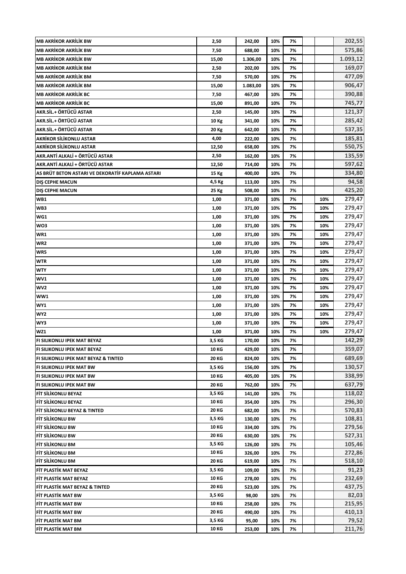| <b>MB AKRİKOR AKRİLİK BW</b>                     | 2,50         | 242,00   | 10% | 7% |     | 202,55   |
|--------------------------------------------------|--------------|----------|-----|----|-----|----------|
| <b>MB AKRİKOR AKRİLİK BW</b>                     | 7,50         | 688,00   | 10% | 7% |     | 575,86   |
| <b>MB AKRİKOR AKRİLİK BW</b>                     | 15,00        | 1.306,00 | 10% | 7% |     | 1.093,12 |
| <b>MB AKRİKOR AKRİLİK BM</b>                     | 2,50         | 202,00   | 10% | 7% |     | 169,07   |
| <b>MB AKRİKOR AKRİLİK BM</b>                     | 7,50         | 570,00   | 10% | 7% |     | 477,09   |
| <b>MB AKRİKOR AKRİLİK BM</b>                     | 15,00        | 1.083,00 | 10% | 7% |     | 906,47   |
| <b>MB AKRİKOR AKRİLİK BC</b>                     | 7,50         | 467,00   | 10% | 7% |     | 390,88   |
| <b>MB AKRİKOR AKRİLİK BC</b>                     | 15,00        | 891,00   | 10% | 7% |     | 745,77   |
| AKR.SİL.+ ÖRTÜCÜ ASTAR                           | 2,50         | 145,00   | 10% | 7% |     | 121,37   |
| AKR.SİL.+ ÖRTÜCÜ ASTAR                           | 10 Kg        | 341,00   | 10% | 7% |     | 285,42   |
| AKR.SİL.+ ÖRTÜCÜ ASTAR                           | 20 Kg        | 642,00   | 10% | 7% |     | 537,35   |
| <b>AKRİKOR SİLİKONLU ASTAR</b>                   | 4,00         | 222,00   | 10% | 7% |     | 185,81   |
| <b>AKRİKOR SİLİKONLU ASTAR</b>                   | 12,50        | 658,00   | 10% | 7% |     | 550,75   |
| AKR.ANTİ ALKALİ + ÖRTÜCÜ ASTAR                   | 2,50         | 162,00   | 10% | 7% |     | 135,59   |
| AKR.ANTİ ALKALİ + ÖRTÜCÜ ASTAR                   | 12,50        | 714,00   | 10% | 7% |     | 597,62   |
| AS BRÜT BETON ASTARI VE DEKORATİF KAPLAMA ASTARI | 15 Kg        | 400,00   | 10% | 7% |     | 334,80   |
| DIS CEPHE MACUN                                  | 4,5 Kg       | 113,00   | 10% | 7% |     | 94,58    |
| DIS CEPHE MACUN                                  | 25 Kg        | 508,00   | 10% | 7% |     | 425,20   |
| WB1                                              | 1,00         | 371,00   | 10% | 7% | 10% | 279,47   |
| WB3                                              | 1,00         | 371,00   | 10% | 7% | 10% | 279,47   |
| WG1                                              | 1,00         | 371,00   | 10% | 7% | 10% | 279,47   |
| WO3                                              | 1,00         | 371,00   | 10% | 7% | 10% | 279,47   |
| WR1                                              | 1,00         | 371,00   | 10% | 7% | 10% | 279,47   |
| WR <sub>2</sub>                                  | 1,00         | 371,00   | 10% | 7% | 10% | 279,47   |
| WR5                                              | 1,00         | 371,00   | 10% | 7% | 10% | 279,47   |
| <b>WTR</b>                                       | 1,00         | 371,00   | 10% | 7% | 10% | 279,47   |
| <b>WTY</b>                                       | 1,00         | 371,00   | 10% | 7% | 10% | 279,47   |
| WV1                                              | 1,00         | 371,00   | 10% | 7% | 10% | 279,47   |
| WV <sub>2</sub>                                  | 1,00         | 371,00   | 10% | 7% | 10% | 279,47   |
| WW1                                              | 1,00         | 371,00   | 10% | 7% | 10% | 279,47   |
| WY1                                              | 1,00         | 371,00   | 10% | 7% | 10% | 279,47   |
| WY2                                              | 1,00         | 371,00   | 10% | 7% | 10% | 279,47   |
| WY3                                              | 1,00         | 371,00   | 10% | 7% | 10% | 279,47   |
| WZ1                                              | 1,00         | 371,00   | 10% | 7% | 10% | 279,47   |
| FI SILIKONLU IPEK MAT BEYAZ                      | 3,5 KG       | 170,00   | 10% | 7% |     | 142,29   |
| FI SILIKONLU IPEK MAT BEYAZ                      | 10 KG        | 429,00   | 10% | 7% |     | 359,07   |
| FI SILIKONLU IPEK MAT BEYAZ & TINTED             | 20 KG        | 824,00   | 10% | 7% |     | 689,69   |
| <b>FI SILIKONLU IPEK MAT BW</b>                  | 3,5 KG       | 156,00   | 10% | 7% |     | 130,57   |
| <b>FI SILIKONLU IPEK MAT BW</b>                  | 10 KG        | 405,00   | 10% | 7% |     | 338,99   |
| FI SILIKONLU IPEK MAT BW                         | 20 KG        | 762,00   | 10% | 7% |     | 637,79   |
| FİT SİLİKONLU BEYAZ                              | 3,5 KG       | 141,00   | 10% | 7% |     | 118,02   |
| FİT SİLİKONLU BEYAZ                              | 10 KG        | 354,00   | 10% | 7% |     | 296,30   |
| FİT SİLİKONLU BEYAZ & TINTED                     | 20 KG        | 682,00   | 10% | 7% |     | 570,83   |
| <b>FIT SILIKONLU BW</b>                          | 3,5 KG       | 130,00   | 10% | 7% |     | 108,81   |
| FİT SİLİKONLU BW                                 | <b>10 KG</b> | 334,00   | 10% | 7% |     | 279,56   |
| FİT SİLİKONLU BW                                 | 20 KG        | 630,00   | 10% | 7% |     | 527,31   |
| FİT SİLİKONLU BM                                 | 3,5 KG       | 126,00   | 10% | 7% |     | 105,46   |
| FİT SİLİKONLU BM                                 | 10 KG        | 326,00   | 10% | 7% |     | 272,86   |
| <b>FIT SILIKONLU BM</b>                          | 20 KG        | 619,00   | 10% | 7% |     | 518,10   |
| FİT PLASTİK MAT BEYAZ                            | 3,5 KG       | 109,00   | 10% | 7% |     | 91,23    |
| FİT PLASTİK MAT BEYAZ                            | 10 KG        | 278,00   | 10% | 7% |     | 232,69   |
| FIT PLASTIK MAT BEYAZ & TINTED                   | 20 KG        | 523,00   | 10% | 7% |     | 437,75   |
| FİT PLASTİK MAT BW                               | 3,5 KG       | 98,00    | 10% | 7% |     | 82,03    |
| FIT PLASTIK MAT BW                               | 10 KG        | 258,00   | 10% | 7% |     | 215,95   |
| FİT PLASTİK MAT BW                               | 20 KG        | 490,00   | 10% | 7% |     | 410,13   |
| FİT PLASTİK MAT BM                               | 3,5 KG       | 95,00    | 10% | 7% |     | 79,52    |
| FİT PLASTİK MAT BM                               | 10 KG        | 253,00   | 10% | 7% |     | 211,76   |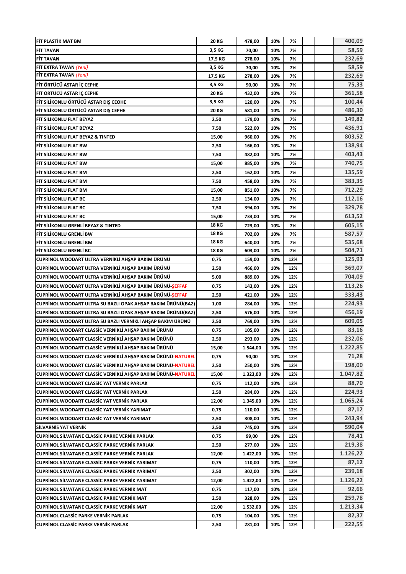| 58,59<br><b>FİT TAVAN</b><br>3,5 KG<br>70,00<br>10%<br>7%<br>232,69<br><b>FIT TAVAN</b><br>17,5 KG<br>278,00<br>10%<br>7%<br>FİT EXTRA TAVAN (Yeni)<br>3,5 KG<br>58,59<br>10%<br>7%<br>70,00<br>FİT EXTRA TAVAN (Yeni)<br>232,69<br>17,5 KG<br>278,00<br>10%<br>7%<br>FİT ÖRTÜCÜ ASTAR İÇ CEPHE<br>75,33<br>3,5 KG<br>10%<br>7%<br>90,00<br>FİT ÖRTÜCÜ ASTAR İÇ CEPHE<br>10%<br>7%<br>20 KG<br>432,00<br>100,44<br>FİT SİLİKONLU ÖRTÜCÜ ASTAR DIŞ CEOHE<br>3,5 KG<br>120,00<br>10%<br>7%<br>FİT SİLİKONLU ÖRTÜCÜ ASTAR DIŞ CEPHE<br>486,30<br>7%<br>20 KG<br>581,00<br>10%<br>FİT SİLİKONLU FLAT BEYAZ<br>2,50<br>10%<br>179,00<br>7%<br>FİT SİLİKONLU FLAT BEYAZ<br>7,50<br>10%<br>7%<br>522,00<br>FİT SİLİKONLU FLAT BEYAZ & TINTED<br>15,00<br>960,00<br>10%<br>7%<br><b>FİT SİLİKONLU FLAT BW</b><br>2,50<br>10%<br>7%<br>166,00<br><b>FİT SİLİKONLU FLAT BW</b><br>7,50<br>482,00<br>10%<br>7%<br><b>FİT SİLİKONLU FLAT BW</b><br>15,00<br>10%<br>7%<br>885,00<br>FİT SİLİKONLU FLAT BM<br>2,50<br>7%<br>162,00<br>10%<br>FİT SİLİKONLU FLAT BM<br>7,50<br>458,00<br>10%<br>7%<br>FİT SİLİKONLU FLAT BM<br>15,00<br>10%<br>7%<br>851,00<br><b>FIT SILIKONLU FLAT BC</b><br>2,50<br>134,00<br>10%<br>7%<br><b>FIT SILIKONLU FLAT BC</b><br>7,50<br>10%<br>7%<br>394,00<br>613,52<br><b>FIT SILIKONLU FLAT BC</b><br>15,00<br>733,00<br>10%<br>7%<br><b>18 KG</b><br>FİT SİLİKONLU GRENLİ BEYAZ & TINTED<br>723,00<br>10%<br>7%<br>FİT SİLİKONLU GRENLİ BW<br><b>18 KG</b><br>702,00<br>10%<br>7%<br>FİT SİLİKONLU GRENLİ BM<br><b>18 KG</b><br>640,00<br>10%<br>7%<br>FİT SİLİKONLU GRENLİ BC<br><b>18 KG</b><br>10%<br>7%<br>603,00<br>CUPRİNOL WOODART ULTRA VERNİKLİ AHŞAP BAKIM ÜRÜNÜ<br>0,75<br>159,00<br>10%<br>12%<br>CUPRİNOL WOODART ULTRA VERNİKLİ AHŞAP BAKIM ÜRÜNÜ<br>2,50<br>466,00<br>10%<br>12%<br>CUPRİNOL WOODART ULTRA VERNİKLİ AHŞAP BAKIM ÜRÜNÜ<br>5,00<br>889,00<br>10%<br>12%<br>CUPRİNOL WOODART ULTRA VERNİKLİ AHŞAP BAKIM ÜRÜNÜ-ŞEFFAF<br>0,75<br>143,00<br>10%<br>12%<br>CUPRİNOL WOODART ULTRA VERNİKLİ AHŞAP BAKIM ÜRÜNÜ-ŞEFFAF<br>2,50<br>421,00<br>10%<br>12%<br>CUPRİNOL WOODART ULTRA SU BAZLI OPAK AHŞAP BAKIM ÜRÜNÜ(BAZ)<br>1,00<br>284,00<br>10%<br>12%<br>CUPRİNOL WOODART ULTRA SU BAZLI OPAK AHŞAP BAKIM ÜRÜNÜ(BAZ)<br>2,50<br>576,00<br>10%<br>12%<br>CUPRİNOL WOODART ULTRA SU BAZLI VERNİKLİ AHŞAP BAKIM ÜRÜNÜ<br>2,50<br>769,00<br>10%<br>12%<br>CUPRİNOL WOODART CLASSİC VERNİKLİ AHŞAP BAKIM ÜRÜNÜ<br>0,75<br>10%<br>12%<br>105,00<br>CUPRİNOL WOODART CLASSİC VERNİKLİ AHŞAP BAKIM ÜRÜNÜ<br>2,50<br>293,00<br>10%<br>12%<br>CUPRİNOL WOODART CLASSİC VERNİKLİ AHŞAP BAKIM ÜRÜNÜ<br>15,00<br>1.544,00<br>12%<br>10%<br>CUPRİNOL WOODART CLASSİC VERNİKLİ AHŞAP BAKIM ÜRÜNÜ-NATUREL<br>0,75<br>90,00<br>10%<br>12%<br>CUPRİNOL WOODART CLASSİC VERNİKLİ AHŞAP BAKIM ÜRÜNÜ-NATUREL<br>2,50<br>250,00<br>10%<br>12%<br>CUPRİNOL WOODART CLASSİC VERNİKLİ AHŞAP BAKIM ÜRÜNÜ-NATUREL<br>15,00<br>1.323,00<br>10%<br>12%<br><b>CUPRINOL WOODART CLASSIC YAT VERNIK PARLAK</b><br>0,75<br>10%<br>12%<br>112,00<br><b>CUPRINOL WOODART CLASSIC YAT VERNIK PARLAK</b><br>2,50<br>284,00<br>10%<br>12%<br><b>CUPRINOL WOODART CLASSIC YAT VERNIK PARLAK</b><br>12,00<br>1.345,00<br>10%<br>12%<br><b>CUPRINOL WOODART CLASSIC YAT VERNIK YARIMAT</b><br>0,75<br>110,00<br>10%<br>12%<br><b>CUPRINOL WOODART CLASSIC YAT VERNIK YARIMAT</b><br>2,50<br>308,00<br>10%<br>12%<br><b>SİLVARNİS YAT VERNİK</b><br>2,50<br>745,00<br>10%<br>12%<br><b>CUPRINOL SILVATANE CLASSIC PARKE VERNIK PARLAK</b><br>0,75<br>99,00<br>10%<br>12%<br><b>CUPRINOL SILVATANE CLASSIC PARKE VERNIK PARLAK</b><br>2,50<br>277,00<br>10%<br>12%<br><b>CUPRINOL SILVATANE CLASSIC PARKE VERNIK PARLAK</b><br>12,00<br>1.422,00<br>10%<br>12%<br><b>CUPRINOL SILVATANE CLASSIC PARKE VERNIK YARIMAT</b><br>0,75<br>110,00<br>10%<br>12%<br><b>CUPRINOL SILVATANE CLASSIC PARKE VERNIK YARIMAT</b><br>2,50<br>302,00<br>10%<br>12%<br><b>CUPRINOL SILVATANE CLASSIC PARKE VERNIK YARIMAT</b><br>12,00<br>1.422,00<br>10%<br>12%<br><b>CUPRINOL SILVATANE CLASSIC PARKE VERNIK MAT</b><br>0,75<br>10%<br>12%<br>117,00<br><b>CUPRINOL SILVATANE CLASSIC PARKE VERNIK MAT</b><br>2,50<br>328,00<br>10%<br>12%<br><b>CUPRINOL SILVATANE CLASSIC PARKE VERNIK MAT</b><br>12,00<br>1.532,00<br>10%<br>12%<br><b>CUPRINOL CLASSIC PARKE VERNIK PARLAK</b><br>0,75<br>104,00<br>10%<br>12%<br><b>CUPRINOL CLASSIC PARKE VERNIK PARLAK</b><br>2,50<br>281,00<br>10%<br>12% | <b>FIT PLASTIK MAT BM</b> | <b>20 KG</b> | 478,00 | 10% | 7% |  | 400,09 |
|----------------------------------------------------------------------------------------------------------------------------------------------------------------------------------------------------------------------------------------------------------------------------------------------------------------------------------------------------------------------------------------------------------------------------------------------------------------------------------------------------------------------------------------------------------------------------------------------------------------------------------------------------------------------------------------------------------------------------------------------------------------------------------------------------------------------------------------------------------------------------------------------------------------------------------------------------------------------------------------------------------------------------------------------------------------------------------------------------------------------------------------------------------------------------------------------------------------------------------------------------------------------------------------------------------------------------------------------------------------------------------------------------------------------------------------------------------------------------------------------------------------------------------------------------------------------------------------------------------------------------------------------------------------------------------------------------------------------------------------------------------------------------------------------------------------------------------------------------------------------------------------------------------------------------------------------------------------------------------------------------------------------------------------------------------------------------------------------------------------------------------------------------------------------------------------------------------------------------------------------------------------------------------------------------------------------------------------------------------------------------------------------------------------------------------------------------------------------------------------------------------------------------------------------------------------------------------------------------------------------------------------------------------------------------------------------------------------------------------------------------------------------------------------------------------------------------------------------------------------------------------------------------------------------------------------------------------------------------------------------------------------------------------------------------------------------------------------------------------------------------------------------------------------------------------------------------------------------------------------------------------------------------------------------------------------------------------------------------------------------------------------------------------------------------------------------------------------------------------------------------------------------------------------------------------------------------------------------------------------------------------------------------------------------------------------------------------------------------------------------------------------------------------------------------------------------------------------------------------------------------------------------------------------------------------------------------------------------------------------------------------------------------------------------------------------------------------------------------------------------------------------------------------------------------------------------------------------------------------------------------------------------------------------------------------------------------------------------------------------------------------------------------------------------------------------------------------------------------------|---------------------------|--------------|--------|-----|----|--|--------|
|                                                                                                                                                                                                                                                                                                                                                                                                                                                                                                                                                                                                                                                                                                                                                                                                                                                                                                                                                                                                                                                                                                                                                                                                                                                                                                                                                                                                                                                                                                                                                                                                                                                                                                                                                                                                                                                                                                                                                                                                                                                                                                                                                                                                                                                                                                                                                                                                                                                                                                                                                                                                                                                                                                                                                                                                                                                                                                                                                                                                                                                                                                                                                                                                                                                                                                                                                                                                                                                                                                                                                                                                                                                                                                                                                                                                                                                                                                                                                                                                                                                                                                                                                                                                                                                                                                                                                                                                                                                                                  |                           |              |        |     |    |  |        |
|                                                                                                                                                                                                                                                                                                                                                                                                                                                                                                                                                                                                                                                                                                                                                                                                                                                                                                                                                                                                                                                                                                                                                                                                                                                                                                                                                                                                                                                                                                                                                                                                                                                                                                                                                                                                                                                                                                                                                                                                                                                                                                                                                                                                                                                                                                                                                                                                                                                                                                                                                                                                                                                                                                                                                                                                                                                                                                                                                                                                                                                                                                                                                                                                                                                                                                                                                                                                                                                                                                                                                                                                                                                                                                                                                                                                                                                                                                                                                                                                                                                                                                                                                                                                                                                                                                                                                                                                                                                                                  |                           |              |        |     |    |  |        |
|                                                                                                                                                                                                                                                                                                                                                                                                                                                                                                                                                                                                                                                                                                                                                                                                                                                                                                                                                                                                                                                                                                                                                                                                                                                                                                                                                                                                                                                                                                                                                                                                                                                                                                                                                                                                                                                                                                                                                                                                                                                                                                                                                                                                                                                                                                                                                                                                                                                                                                                                                                                                                                                                                                                                                                                                                                                                                                                                                                                                                                                                                                                                                                                                                                                                                                                                                                                                                                                                                                                                                                                                                                                                                                                                                                                                                                                                                                                                                                                                                                                                                                                                                                                                                                                                                                                                                                                                                                                                                  |                           |              |        |     |    |  |        |
|                                                                                                                                                                                                                                                                                                                                                                                                                                                                                                                                                                                                                                                                                                                                                                                                                                                                                                                                                                                                                                                                                                                                                                                                                                                                                                                                                                                                                                                                                                                                                                                                                                                                                                                                                                                                                                                                                                                                                                                                                                                                                                                                                                                                                                                                                                                                                                                                                                                                                                                                                                                                                                                                                                                                                                                                                                                                                                                                                                                                                                                                                                                                                                                                                                                                                                                                                                                                                                                                                                                                                                                                                                                                                                                                                                                                                                                                                                                                                                                                                                                                                                                                                                                                                                                                                                                                                                                                                                                                                  |                           |              |        |     |    |  |        |
| 361,58<br>149,82<br>436,91<br>803,52<br>138,94<br>403,43<br>740,75<br>135,59<br>383,35<br>712,29<br>112,16<br>329,78<br>605,15<br>587,57<br>535,68<br>504,71<br>125,93<br>369,07<br>704,09<br>113,26<br>333,43<br>224,93<br>456,19<br>609,05<br>83,16<br>232,06<br>1.222,85<br>71,28<br>198,00<br>1.047,82<br>88,70<br>224,93<br>1.065,24<br>87,12<br>243,94<br>590,04<br>78,41<br>219,38<br>1.126,22<br>87,12<br>239,18<br>1.126,22<br>92,66<br>259,78<br>1.213,34<br>82,37<br>222,55                                                                                                                                                                                                                                                                                                                                                                                                                                                                                                                                                                                                                                                                                                                                                                                                                                                                                                                                                                                                                                                                                                                                                                                                                                                                                                                                                                                                                                                                                                                                                                                                                                                                                                                                                                                                                                                                                                                                                                                                                                                                                                                                                                                                                                                                                                                                                                                                                                                                                                                                                                                                                                                                                                                                                                                                                                                                                                                                                                                                                                                                                                                                                                                                                                                                                                                                                                                                                                                                                                                                                                                                                                                                                                                                                                                                                                                                                                                                                                                           |                           |              |        |     |    |  |        |
|                                                                                                                                                                                                                                                                                                                                                                                                                                                                                                                                                                                                                                                                                                                                                                                                                                                                                                                                                                                                                                                                                                                                                                                                                                                                                                                                                                                                                                                                                                                                                                                                                                                                                                                                                                                                                                                                                                                                                                                                                                                                                                                                                                                                                                                                                                                                                                                                                                                                                                                                                                                                                                                                                                                                                                                                                                                                                                                                                                                                                                                                                                                                                                                                                                                                                                                                                                                                                                                                                                                                                                                                                                                                                                                                                                                                                                                                                                                                                                                                                                                                                                                                                                                                                                                                                                                                                                                                                                                                                  |                           |              |        |     |    |  |        |
|                                                                                                                                                                                                                                                                                                                                                                                                                                                                                                                                                                                                                                                                                                                                                                                                                                                                                                                                                                                                                                                                                                                                                                                                                                                                                                                                                                                                                                                                                                                                                                                                                                                                                                                                                                                                                                                                                                                                                                                                                                                                                                                                                                                                                                                                                                                                                                                                                                                                                                                                                                                                                                                                                                                                                                                                                                                                                                                                                                                                                                                                                                                                                                                                                                                                                                                                                                                                                                                                                                                                                                                                                                                                                                                                                                                                                                                                                                                                                                                                                                                                                                                                                                                                                                                                                                                                                                                                                                                                                  |                           |              |        |     |    |  |        |
|                                                                                                                                                                                                                                                                                                                                                                                                                                                                                                                                                                                                                                                                                                                                                                                                                                                                                                                                                                                                                                                                                                                                                                                                                                                                                                                                                                                                                                                                                                                                                                                                                                                                                                                                                                                                                                                                                                                                                                                                                                                                                                                                                                                                                                                                                                                                                                                                                                                                                                                                                                                                                                                                                                                                                                                                                                                                                                                                                                                                                                                                                                                                                                                                                                                                                                                                                                                                                                                                                                                                                                                                                                                                                                                                                                                                                                                                                                                                                                                                                                                                                                                                                                                                                                                                                                                                                                                                                                                                                  |                           |              |        |     |    |  |        |
|                                                                                                                                                                                                                                                                                                                                                                                                                                                                                                                                                                                                                                                                                                                                                                                                                                                                                                                                                                                                                                                                                                                                                                                                                                                                                                                                                                                                                                                                                                                                                                                                                                                                                                                                                                                                                                                                                                                                                                                                                                                                                                                                                                                                                                                                                                                                                                                                                                                                                                                                                                                                                                                                                                                                                                                                                                                                                                                                                                                                                                                                                                                                                                                                                                                                                                                                                                                                                                                                                                                                                                                                                                                                                                                                                                                                                                                                                                                                                                                                                                                                                                                                                                                                                                                                                                                                                                                                                                                                                  |                           |              |        |     |    |  |        |
|                                                                                                                                                                                                                                                                                                                                                                                                                                                                                                                                                                                                                                                                                                                                                                                                                                                                                                                                                                                                                                                                                                                                                                                                                                                                                                                                                                                                                                                                                                                                                                                                                                                                                                                                                                                                                                                                                                                                                                                                                                                                                                                                                                                                                                                                                                                                                                                                                                                                                                                                                                                                                                                                                                                                                                                                                                                                                                                                                                                                                                                                                                                                                                                                                                                                                                                                                                                                                                                                                                                                                                                                                                                                                                                                                                                                                                                                                                                                                                                                                                                                                                                                                                                                                                                                                                                                                                                                                                                                                  |                           |              |        |     |    |  |        |
|                                                                                                                                                                                                                                                                                                                                                                                                                                                                                                                                                                                                                                                                                                                                                                                                                                                                                                                                                                                                                                                                                                                                                                                                                                                                                                                                                                                                                                                                                                                                                                                                                                                                                                                                                                                                                                                                                                                                                                                                                                                                                                                                                                                                                                                                                                                                                                                                                                                                                                                                                                                                                                                                                                                                                                                                                                                                                                                                                                                                                                                                                                                                                                                                                                                                                                                                                                                                                                                                                                                                                                                                                                                                                                                                                                                                                                                                                                                                                                                                                                                                                                                                                                                                                                                                                                                                                                                                                                                                                  |                           |              |        |     |    |  |        |
|                                                                                                                                                                                                                                                                                                                                                                                                                                                                                                                                                                                                                                                                                                                                                                                                                                                                                                                                                                                                                                                                                                                                                                                                                                                                                                                                                                                                                                                                                                                                                                                                                                                                                                                                                                                                                                                                                                                                                                                                                                                                                                                                                                                                                                                                                                                                                                                                                                                                                                                                                                                                                                                                                                                                                                                                                                                                                                                                                                                                                                                                                                                                                                                                                                                                                                                                                                                                                                                                                                                                                                                                                                                                                                                                                                                                                                                                                                                                                                                                                                                                                                                                                                                                                                                                                                                                                                                                                                                                                  |                           |              |        |     |    |  |        |
|                                                                                                                                                                                                                                                                                                                                                                                                                                                                                                                                                                                                                                                                                                                                                                                                                                                                                                                                                                                                                                                                                                                                                                                                                                                                                                                                                                                                                                                                                                                                                                                                                                                                                                                                                                                                                                                                                                                                                                                                                                                                                                                                                                                                                                                                                                                                                                                                                                                                                                                                                                                                                                                                                                                                                                                                                                                                                                                                                                                                                                                                                                                                                                                                                                                                                                                                                                                                                                                                                                                                                                                                                                                                                                                                                                                                                                                                                                                                                                                                                                                                                                                                                                                                                                                                                                                                                                                                                                                                                  |                           |              |        |     |    |  |        |
|                                                                                                                                                                                                                                                                                                                                                                                                                                                                                                                                                                                                                                                                                                                                                                                                                                                                                                                                                                                                                                                                                                                                                                                                                                                                                                                                                                                                                                                                                                                                                                                                                                                                                                                                                                                                                                                                                                                                                                                                                                                                                                                                                                                                                                                                                                                                                                                                                                                                                                                                                                                                                                                                                                                                                                                                                                                                                                                                                                                                                                                                                                                                                                                                                                                                                                                                                                                                                                                                                                                                                                                                                                                                                                                                                                                                                                                                                                                                                                                                                                                                                                                                                                                                                                                                                                                                                                                                                                                                                  |                           |              |        |     |    |  |        |
|                                                                                                                                                                                                                                                                                                                                                                                                                                                                                                                                                                                                                                                                                                                                                                                                                                                                                                                                                                                                                                                                                                                                                                                                                                                                                                                                                                                                                                                                                                                                                                                                                                                                                                                                                                                                                                                                                                                                                                                                                                                                                                                                                                                                                                                                                                                                                                                                                                                                                                                                                                                                                                                                                                                                                                                                                                                                                                                                                                                                                                                                                                                                                                                                                                                                                                                                                                                                                                                                                                                                                                                                                                                                                                                                                                                                                                                                                                                                                                                                                                                                                                                                                                                                                                                                                                                                                                                                                                                                                  |                           |              |        |     |    |  |        |
|                                                                                                                                                                                                                                                                                                                                                                                                                                                                                                                                                                                                                                                                                                                                                                                                                                                                                                                                                                                                                                                                                                                                                                                                                                                                                                                                                                                                                                                                                                                                                                                                                                                                                                                                                                                                                                                                                                                                                                                                                                                                                                                                                                                                                                                                                                                                                                                                                                                                                                                                                                                                                                                                                                                                                                                                                                                                                                                                                                                                                                                                                                                                                                                                                                                                                                                                                                                                                                                                                                                                                                                                                                                                                                                                                                                                                                                                                                                                                                                                                                                                                                                                                                                                                                                                                                                                                                                                                                                                                  |                           |              |        |     |    |  |        |
|                                                                                                                                                                                                                                                                                                                                                                                                                                                                                                                                                                                                                                                                                                                                                                                                                                                                                                                                                                                                                                                                                                                                                                                                                                                                                                                                                                                                                                                                                                                                                                                                                                                                                                                                                                                                                                                                                                                                                                                                                                                                                                                                                                                                                                                                                                                                                                                                                                                                                                                                                                                                                                                                                                                                                                                                                                                                                                                                                                                                                                                                                                                                                                                                                                                                                                                                                                                                                                                                                                                                                                                                                                                                                                                                                                                                                                                                                                                                                                                                                                                                                                                                                                                                                                                                                                                                                                                                                                                                                  |                           |              |        |     |    |  |        |
|                                                                                                                                                                                                                                                                                                                                                                                                                                                                                                                                                                                                                                                                                                                                                                                                                                                                                                                                                                                                                                                                                                                                                                                                                                                                                                                                                                                                                                                                                                                                                                                                                                                                                                                                                                                                                                                                                                                                                                                                                                                                                                                                                                                                                                                                                                                                                                                                                                                                                                                                                                                                                                                                                                                                                                                                                                                                                                                                                                                                                                                                                                                                                                                                                                                                                                                                                                                                                                                                                                                                                                                                                                                                                                                                                                                                                                                                                                                                                                                                                                                                                                                                                                                                                                                                                                                                                                                                                                                                                  |                           |              |        |     |    |  |        |
|                                                                                                                                                                                                                                                                                                                                                                                                                                                                                                                                                                                                                                                                                                                                                                                                                                                                                                                                                                                                                                                                                                                                                                                                                                                                                                                                                                                                                                                                                                                                                                                                                                                                                                                                                                                                                                                                                                                                                                                                                                                                                                                                                                                                                                                                                                                                                                                                                                                                                                                                                                                                                                                                                                                                                                                                                                                                                                                                                                                                                                                                                                                                                                                                                                                                                                                                                                                                                                                                                                                                                                                                                                                                                                                                                                                                                                                                                                                                                                                                                                                                                                                                                                                                                                                                                                                                                                                                                                                                                  |                           |              |        |     |    |  |        |
|                                                                                                                                                                                                                                                                                                                                                                                                                                                                                                                                                                                                                                                                                                                                                                                                                                                                                                                                                                                                                                                                                                                                                                                                                                                                                                                                                                                                                                                                                                                                                                                                                                                                                                                                                                                                                                                                                                                                                                                                                                                                                                                                                                                                                                                                                                                                                                                                                                                                                                                                                                                                                                                                                                                                                                                                                                                                                                                                                                                                                                                                                                                                                                                                                                                                                                                                                                                                                                                                                                                                                                                                                                                                                                                                                                                                                                                                                                                                                                                                                                                                                                                                                                                                                                                                                                                                                                                                                                                                                  |                           |              |        |     |    |  |        |
|                                                                                                                                                                                                                                                                                                                                                                                                                                                                                                                                                                                                                                                                                                                                                                                                                                                                                                                                                                                                                                                                                                                                                                                                                                                                                                                                                                                                                                                                                                                                                                                                                                                                                                                                                                                                                                                                                                                                                                                                                                                                                                                                                                                                                                                                                                                                                                                                                                                                                                                                                                                                                                                                                                                                                                                                                                                                                                                                                                                                                                                                                                                                                                                                                                                                                                                                                                                                                                                                                                                                                                                                                                                                                                                                                                                                                                                                                                                                                                                                                                                                                                                                                                                                                                                                                                                                                                                                                                                                                  |                           |              |        |     |    |  |        |
|                                                                                                                                                                                                                                                                                                                                                                                                                                                                                                                                                                                                                                                                                                                                                                                                                                                                                                                                                                                                                                                                                                                                                                                                                                                                                                                                                                                                                                                                                                                                                                                                                                                                                                                                                                                                                                                                                                                                                                                                                                                                                                                                                                                                                                                                                                                                                                                                                                                                                                                                                                                                                                                                                                                                                                                                                                                                                                                                                                                                                                                                                                                                                                                                                                                                                                                                                                                                                                                                                                                                                                                                                                                                                                                                                                                                                                                                                                                                                                                                                                                                                                                                                                                                                                                                                                                                                                                                                                                                                  |                           |              |        |     |    |  |        |
|                                                                                                                                                                                                                                                                                                                                                                                                                                                                                                                                                                                                                                                                                                                                                                                                                                                                                                                                                                                                                                                                                                                                                                                                                                                                                                                                                                                                                                                                                                                                                                                                                                                                                                                                                                                                                                                                                                                                                                                                                                                                                                                                                                                                                                                                                                                                                                                                                                                                                                                                                                                                                                                                                                                                                                                                                                                                                                                                                                                                                                                                                                                                                                                                                                                                                                                                                                                                                                                                                                                                                                                                                                                                                                                                                                                                                                                                                                                                                                                                                                                                                                                                                                                                                                                                                                                                                                                                                                                                                  |                           |              |        |     |    |  |        |
|                                                                                                                                                                                                                                                                                                                                                                                                                                                                                                                                                                                                                                                                                                                                                                                                                                                                                                                                                                                                                                                                                                                                                                                                                                                                                                                                                                                                                                                                                                                                                                                                                                                                                                                                                                                                                                                                                                                                                                                                                                                                                                                                                                                                                                                                                                                                                                                                                                                                                                                                                                                                                                                                                                                                                                                                                                                                                                                                                                                                                                                                                                                                                                                                                                                                                                                                                                                                                                                                                                                                                                                                                                                                                                                                                                                                                                                                                                                                                                                                                                                                                                                                                                                                                                                                                                                                                                                                                                                                                  |                           |              |        |     |    |  |        |
|                                                                                                                                                                                                                                                                                                                                                                                                                                                                                                                                                                                                                                                                                                                                                                                                                                                                                                                                                                                                                                                                                                                                                                                                                                                                                                                                                                                                                                                                                                                                                                                                                                                                                                                                                                                                                                                                                                                                                                                                                                                                                                                                                                                                                                                                                                                                                                                                                                                                                                                                                                                                                                                                                                                                                                                                                                                                                                                                                                                                                                                                                                                                                                                                                                                                                                                                                                                                                                                                                                                                                                                                                                                                                                                                                                                                                                                                                                                                                                                                                                                                                                                                                                                                                                                                                                                                                                                                                                                                                  |                           |              |        |     |    |  |        |
|                                                                                                                                                                                                                                                                                                                                                                                                                                                                                                                                                                                                                                                                                                                                                                                                                                                                                                                                                                                                                                                                                                                                                                                                                                                                                                                                                                                                                                                                                                                                                                                                                                                                                                                                                                                                                                                                                                                                                                                                                                                                                                                                                                                                                                                                                                                                                                                                                                                                                                                                                                                                                                                                                                                                                                                                                                                                                                                                                                                                                                                                                                                                                                                                                                                                                                                                                                                                                                                                                                                                                                                                                                                                                                                                                                                                                                                                                                                                                                                                                                                                                                                                                                                                                                                                                                                                                                                                                                                                                  |                           |              |        |     |    |  |        |
|                                                                                                                                                                                                                                                                                                                                                                                                                                                                                                                                                                                                                                                                                                                                                                                                                                                                                                                                                                                                                                                                                                                                                                                                                                                                                                                                                                                                                                                                                                                                                                                                                                                                                                                                                                                                                                                                                                                                                                                                                                                                                                                                                                                                                                                                                                                                                                                                                                                                                                                                                                                                                                                                                                                                                                                                                                                                                                                                                                                                                                                                                                                                                                                                                                                                                                                                                                                                                                                                                                                                                                                                                                                                                                                                                                                                                                                                                                                                                                                                                                                                                                                                                                                                                                                                                                                                                                                                                                                                                  |                           |              |        |     |    |  |        |
|                                                                                                                                                                                                                                                                                                                                                                                                                                                                                                                                                                                                                                                                                                                                                                                                                                                                                                                                                                                                                                                                                                                                                                                                                                                                                                                                                                                                                                                                                                                                                                                                                                                                                                                                                                                                                                                                                                                                                                                                                                                                                                                                                                                                                                                                                                                                                                                                                                                                                                                                                                                                                                                                                                                                                                                                                                                                                                                                                                                                                                                                                                                                                                                                                                                                                                                                                                                                                                                                                                                                                                                                                                                                                                                                                                                                                                                                                                                                                                                                                                                                                                                                                                                                                                                                                                                                                                                                                                                                                  |                           |              |        |     |    |  |        |
|                                                                                                                                                                                                                                                                                                                                                                                                                                                                                                                                                                                                                                                                                                                                                                                                                                                                                                                                                                                                                                                                                                                                                                                                                                                                                                                                                                                                                                                                                                                                                                                                                                                                                                                                                                                                                                                                                                                                                                                                                                                                                                                                                                                                                                                                                                                                                                                                                                                                                                                                                                                                                                                                                                                                                                                                                                                                                                                                                                                                                                                                                                                                                                                                                                                                                                                                                                                                                                                                                                                                                                                                                                                                                                                                                                                                                                                                                                                                                                                                                                                                                                                                                                                                                                                                                                                                                                                                                                                                                  |                           |              |        |     |    |  |        |
|                                                                                                                                                                                                                                                                                                                                                                                                                                                                                                                                                                                                                                                                                                                                                                                                                                                                                                                                                                                                                                                                                                                                                                                                                                                                                                                                                                                                                                                                                                                                                                                                                                                                                                                                                                                                                                                                                                                                                                                                                                                                                                                                                                                                                                                                                                                                                                                                                                                                                                                                                                                                                                                                                                                                                                                                                                                                                                                                                                                                                                                                                                                                                                                                                                                                                                                                                                                                                                                                                                                                                                                                                                                                                                                                                                                                                                                                                                                                                                                                                                                                                                                                                                                                                                                                                                                                                                                                                                                                                  |                           |              |        |     |    |  |        |
|                                                                                                                                                                                                                                                                                                                                                                                                                                                                                                                                                                                                                                                                                                                                                                                                                                                                                                                                                                                                                                                                                                                                                                                                                                                                                                                                                                                                                                                                                                                                                                                                                                                                                                                                                                                                                                                                                                                                                                                                                                                                                                                                                                                                                                                                                                                                                                                                                                                                                                                                                                                                                                                                                                                                                                                                                                                                                                                                                                                                                                                                                                                                                                                                                                                                                                                                                                                                                                                                                                                                                                                                                                                                                                                                                                                                                                                                                                                                                                                                                                                                                                                                                                                                                                                                                                                                                                                                                                                                                  |                           |              |        |     |    |  |        |
|                                                                                                                                                                                                                                                                                                                                                                                                                                                                                                                                                                                                                                                                                                                                                                                                                                                                                                                                                                                                                                                                                                                                                                                                                                                                                                                                                                                                                                                                                                                                                                                                                                                                                                                                                                                                                                                                                                                                                                                                                                                                                                                                                                                                                                                                                                                                                                                                                                                                                                                                                                                                                                                                                                                                                                                                                                                                                                                                                                                                                                                                                                                                                                                                                                                                                                                                                                                                                                                                                                                                                                                                                                                                                                                                                                                                                                                                                                                                                                                                                                                                                                                                                                                                                                                                                                                                                                                                                                                                                  |                           |              |        |     |    |  |        |
|                                                                                                                                                                                                                                                                                                                                                                                                                                                                                                                                                                                                                                                                                                                                                                                                                                                                                                                                                                                                                                                                                                                                                                                                                                                                                                                                                                                                                                                                                                                                                                                                                                                                                                                                                                                                                                                                                                                                                                                                                                                                                                                                                                                                                                                                                                                                                                                                                                                                                                                                                                                                                                                                                                                                                                                                                                                                                                                                                                                                                                                                                                                                                                                                                                                                                                                                                                                                                                                                                                                                                                                                                                                                                                                                                                                                                                                                                                                                                                                                                                                                                                                                                                                                                                                                                                                                                                                                                                                                                  |                           |              |        |     |    |  |        |
|                                                                                                                                                                                                                                                                                                                                                                                                                                                                                                                                                                                                                                                                                                                                                                                                                                                                                                                                                                                                                                                                                                                                                                                                                                                                                                                                                                                                                                                                                                                                                                                                                                                                                                                                                                                                                                                                                                                                                                                                                                                                                                                                                                                                                                                                                                                                                                                                                                                                                                                                                                                                                                                                                                                                                                                                                                                                                                                                                                                                                                                                                                                                                                                                                                                                                                                                                                                                                                                                                                                                                                                                                                                                                                                                                                                                                                                                                                                                                                                                                                                                                                                                                                                                                                                                                                                                                                                                                                                                                  |                           |              |        |     |    |  |        |
|                                                                                                                                                                                                                                                                                                                                                                                                                                                                                                                                                                                                                                                                                                                                                                                                                                                                                                                                                                                                                                                                                                                                                                                                                                                                                                                                                                                                                                                                                                                                                                                                                                                                                                                                                                                                                                                                                                                                                                                                                                                                                                                                                                                                                                                                                                                                                                                                                                                                                                                                                                                                                                                                                                                                                                                                                                                                                                                                                                                                                                                                                                                                                                                                                                                                                                                                                                                                                                                                                                                                                                                                                                                                                                                                                                                                                                                                                                                                                                                                                                                                                                                                                                                                                                                                                                                                                                                                                                                                                  |                           |              |        |     |    |  |        |
|                                                                                                                                                                                                                                                                                                                                                                                                                                                                                                                                                                                                                                                                                                                                                                                                                                                                                                                                                                                                                                                                                                                                                                                                                                                                                                                                                                                                                                                                                                                                                                                                                                                                                                                                                                                                                                                                                                                                                                                                                                                                                                                                                                                                                                                                                                                                                                                                                                                                                                                                                                                                                                                                                                                                                                                                                                                                                                                                                                                                                                                                                                                                                                                                                                                                                                                                                                                                                                                                                                                                                                                                                                                                                                                                                                                                                                                                                                                                                                                                                                                                                                                                                                                                                                                                                                                                                                                                                                                                                  |                           |              |        |     |    |  |        |
|                                                                                                                                                                                                                                                                                                                                                                                                                                                                                                                                                                                                                                                                                                                                                                                                                                                                                                                                                                                                                                                                                                                                                                                                                                                                                                                                                                                                                                                                                                                                                                                                                                                                                                                                                                                                                                                                                                                                                                                                                                                                                                                                                                                                                                                                                                                                                                                                                                                                                                                                                                                                                                                                                                                                                                                                                                                                                                                                                                                                                                                                                                                                                                                                                                                                                                                                                                                                                                                                                                                                                                                                                                                                                                                                                                                                                                                                                                                                                                                                                                                                                                                                                                                                                                                                                                                                                                                                                                                                                  |                           |              |        |     |    |  |        |
|                                                                                                                                                                                                                                                                                                                                                                                                                                                                                                                                                                                                                                                                                                                                                                                                                                                                                                                                                                                                                                                                                                                                                                                                                                                                                                                                                                                                                                                                                                                                                                                                                                                                                                                                                                                                                                                                                                                                                                                                                                                                                                                                                                                                                                                                                                                                                                                                                                                                                                                                                                                                                                                                                                                                                                                                                                                                                                                                                                                                                                                                                                                                                                                                                                                                                                                                                                                                                                                                                                                                                                                                                                                                                                                                                                                                                                                                                                                                                                                                                                                                                                                                                                                                                                                                                                                                                                                                                                                                                  |                           |              |        |     |    |  |        |
|                                                                                                                                                                                                                                                                                                                                                                                                                                                                                                                                                                                                                                                                                                                                                                                                                                                                                                                                                                                                                                                                                                                                                                                                                                                                                                                                                                                                                                                                                                                                                                                                                                                                                                                                                                                                                                                                                                                                                                                                                                                                                                                                                                                                                                                                                                                                                                                                                                                                                                                                                                                                                                                                                                                                                                                                                                                                                                                                                                                                                                                                                                                                                                                                                                                                                                                                                                                                                                                                                                                                                                                                                                                                                                                                                                                                                                                                                                                                                                                                                                                                                                                                                                                                                                                                                                                                                                                                                                                                                  |                           |              |        |     |    |  |        |
|                                                                                                                                                                                                                                                                                                                                                                                                                                                                                                                                                                                                                                                                                                                                                                                                                                                                                                                                                                                                                                                                                                                                                                                                                                                                                                                                                                                                                                                                                                                                                                                                                                                                                                                                                                                                                                                                                                                                                                                                                                                                                                                                                                                                                                                                                                                                                                                                                                                                                                                                                                                                                                                                                                                                                                                                                                                                                                                                                                                                                                                                                                                                                                                                                                                                                                                                                                                                                                                                                                                                                                                                                                                                                                                                                                                                                                                                                                                                                                                                                                                                                                                                                                                                                                                                                                                                                                                                                                                                                  |                           |              |        |     |    |  |        |
|                                                                                                                                                                                                                                                                                                                                                                                                                                                                                                                                                                                                                                                                                                                                                                                                                                                                                                                                                                                                                                                                                                                                                                                                                                                                                                                                                                                                                                                                                                                                                                                                                                                                                                                                                                                                                                                                                                                                                                                                                                                                                                                                                                                                                                                                                                                                                                                                                                                                                                                                                                                                                                                                                                                                                                                                                                                                                                                                                                                                                                                                                                                                                                                                                                                                                                                                                                                                                                                                                                                                                                                                                                                                                                                                                                                                                                                                                                                                                                                                                                                                                                                                                                                                                                                                                                                                                                                                                                                                                  |                           |              |        |     |    |  |        |
|                                                                                                                                                                                                                                                                                                                                                                                                                                                                                                                                                                                                                                                                                                                                                                                                                                                                                                                                                                                                                                                                                                                                                                                                                                                                                                                                                                                                                                                                                                                                                                                                                                                                                                                                                                                                                                                                                                                                                                                                                                                                                                                                                                                                                                                                                                                                                                                                                                                                                                                                                                                                                                                                                                                                                                                                                                                                                                                                                                                                                                                                                                                                                                                                                                                                                                                                                                                                                                                                                                                                                                                                                                                                                                                                                                                                                                                                                                                                                                                                                                                                                                                                                                                                                                                                                                                                                                                                                                                                                  |                           |              |        |     |    |  |        |
|                                                                                                                                                                                                                                                                                                                                                                                                                                                                                                                                                                                                                                                                                                                                                                                                                                                                                                                                                                                                                                                                                                                                                                                                                                                                                                                                                                                                                                                                                                                                                                                                                                                                                                                                                                                                                                                                                                                                                                                                                                                                                                                                                                                                                                                                                                                                                                                                                                                                                                                                                                                                                                                                                                                                                                                                                                                                                                                                                                                                                                                                                                                                                                                                                                                                                                                                                                                                                                                                                                                                                                                                                                                                                                                                                                                                                                                                                                                                                                                                                                                                                                                                                                                                                                                                                                                                                                                                                                                                                  |                           |              |        |     |    |  |        |
|                                                                                                                                                                                                                                                                                                                                                                                                                                                                                                                                                                                                                                                                                                                                                                                                                                                                                                                                                                                                                                                                                                                                                                                                                                                                                                                                                                                                                                                                                                                                                                                                                                                                                                                                                                                                                                                                                                                                                                                                                                                                                                                                                                                                                                                                                                                                                                                                                                                                                                                                                                                                                                                                                                                                                                                                                                                                                                                                                                                                                                                                                                                                                                                                                                                                                                                                                                                                                                                                                                                                                                                                                                                                                                                                                                                                                                                                                                                                                                                                                                                                                                                                                                                                                                                                                                                                                                                                                                                                                  |                           |              |        |     |    |  |        |
|                                                                                                                                                                                                                                                                                                                                                                                                                                                                                                                                                                                                                                                                                                                                                                                                                                                                                                                                                                                                                                                                                                                                                                                                                                                                                                                                                                                                                                                                                                                                                                                                                                                                                                                                                                                                                                                                                                                                                                                                                                                                                                                                                                                                                                                                                                                                                                                                                                                                                                                                                                                                                                                                                                                                                                                                                                                                                                                                                                                                                                                                                                                                                                                                                                                                                                                                                                                                                                                                                                                                                                                                                                                                                                                                                                                                                                                                                                                                                                                                                                                                                                                                                                                                                                                                                                                                                                                                                                                                                  |                           |              |        |     |    |  |        |
|                                                                                                                                                                                                                                                                                                                                                                                                                                                                                                                                                                                                                                                                                                                                                                                                                                                                                                                                                                                                                                                                                                                                                                                                                                                                                                                                                                                                                                                                                                                                                                                                                                                                                                                                                                                                                                                                                                                                                                                                                                                                                                                                                                                                                                                                                                                                                                                                                                                                                                                                                                                                                                                                                                                                                                                                                                                                                                                                                                                                                                                                                                                                                                                                                                                                                                                                                                                                                                                                                                                                                                                                                                                                                                                                                                                                                                                                                                                                                                                                                                                                                                                                                                                                                                                                                                                                                                                                                                                                                  |                           |              |        |     |    |  |        |
|                                                                                                                                                                                                                                                                                                                                                                                                                                                                                                                                                                                                                                                                                                                                                                                                                                                                                                                                                                                                                                                                                                                                                                                                                                                                                                                                                                                                                                                                                                                                                                                                                                                                                                                                                                                                                                                                                                                                                                                                                                                                                                                                                                                                                                                                                                                                                                                                                                                                                                                                                                                                                                                                                                                                                                                                                                                                                                                                                                                                                                                                                                                                                                                                                                                                                                                                                                                                                                                                                                                                                                                                                                                                                                                                                                                                                                                                                                                                                                                                                                                                                                                                                                                                                                                                                                                                                                                                                                                                                  |                           |              |        |     |    |  |        |
|                                                                                                                                                                                                                                                                                                                                                                                                                                                                                                                                                                                                                                                                                                                                                                                                                                                                                                                                                                                                                                                                                                                                                                                                                                                                                                                                                                                                                                                                                                                                                                                                                                                                                                                                                                                                                                                                                                                                                                                                                                                                                                                                                                                                                                                                                                                                                                                                                                                                                                                                                                                                                                                                                                                                                                                                                                                                                                                                                                                                                                                                                                                                                                                                                                                                                                                                                                                                                                                                                                                                                                                                                                                                                                                                                                                                                                                                                                                                                                                                                                                                                                                                                                                                                                                                                                                                                                                                                                                                                  |                           |              |        |     |    |  |        |
|                                                                                                                                                                                                                                                                                                                                                                                                                                                                                                                                                                                                                                                                                                                                                                                                                                                                                                                                                                                                                                                                                                                                                                                                                                                                                                                                                                                                                                                                                                                                                                                                                                                                                                                                                                                                                                                                                                                                                                                                                                                                                                                                                                                                                                                                                                                                                                                                                                                                                                                                                                                                                                                                                                                                                                                                                                                                                                                                                                                                                                                                                                                                                                                                                                                                                                                                                                                                                                                                                                                                                                                                                                                                                                                                                                                                                                                                                                                                                                                                                                                                                                                                                                                                                                                                                                                                                                                                                                                                                  |                           |              |        |     |    |  |        |
|                                                                                                                                                                                                                                                                                                                                                                                                                                                                                                                                                                                                                                                                                                                                                                                                                                                                                                                                                                                                                                                                                                                                                                                                                                                                                                                                                                                                                                                                                                                                                                                                                                                                                                                                                                                                                                                                                                                                                                                                                                                                                                                                                                                                                                                                                                                                                                                                                                                                                                                                                                                                                                                                                                                                                                                                                                                                                                                                                                                                                                                                                                                                                                                                                                                                                                                                                                                                                                                                                                                                                                                                                                                                                                                                                                                                                                                                                                                                                                                                                                                                                                                                                                                                                                                                                                                                                                                                                                                                                  |                           |              |        |     |    |  |        |
|                                                                                                                                                                                                                                                                                                                                                                                                                                                                                                                                                                                                                                                                                                                                                                                                                                                                                                                                                                                                                                                                                                                                                                                                                                                                                                                                                                                                                                                                                                                                                                                                                                                                                                                                                                                                                                                                                                                                                                                                                                                                                                                                                                                                                                                                                                                                                                                                                                                                                                                                                                                                                                                                                                                                                                                                                                                                                                                                                                                                                                                                                                                                                                                                                                                                                                                                                                                                                                                                                                                                                                                                                                                                                                                                                                                                                                                                                                                                                                                                                                                                                                                                                                                                                                                                                                                                                                                                                                                                                  |                           |              |        |     |    |  |        |
|                                                                                                                                                                                                                                                                                                                                                                                                                                                                                                                                                                                                                                                                                                                                                                                                                                                                                                                                                                                                                                                                                                                                                                                                                                                                                                                                                                                                                                                                                                                                                                                                                                                                                                                                                                                                                                                                                                                                                                                                                                                                                                                                                                                                                                                                                                                                                                                                                                                                                                                                                                                                                                                                                                                                                                                                                                                                                                                                                                                                                                                                                                                                                                                                                                                                                                                                                                                                                                                                                                                                                                                                                                                                                                                                                                                                                                                                                                                                                                                                                                                                                                                                                                                                                                                                                                                                                                                                                                                                                  |                           |              |        |     |    |  |        |
|                                                                                                                                                                                                                                                                                                                                                                                                                                                                                                                                                                                                                                                                                                                                                                                                                                                                                                                                                                                                                                                                                                                                                                                                                                                                                                                                                                                                                                                                                                                                                                                                                                                                                                                                                                                                                                                                                                                                                                                                                                                                                                                                                                                                                                                                                                                                                                                                                                                                                                                                                                                                                                                                                                                                                                                                                                                                                                                                                                                                                                                                                                                                                                                                                                                                                                                                                                                                                                                                                                                                                                                                                                                                                                                                                                                                                                                                                                                                                                                                                                                                                                                                                                                                                                                                                                                                                                                                                                                                                  |                           |              |        |     |    |  |        |
|                                                                                                                                                                                                                                                                                                                                                                                                                                                                                                                                                                                                                                                                                                                                                                                                                                                                                                                                                                                                                                                                                                                                                                                                                                                                                                                                                                                                                                                                                                                                                                                                                                                                                                                                                                                                                                                                                                                                                                                                                                                                                                                                                                                                                                                                                                                                                                                                                                                                                                                                                                                                                                                                                                                                                                                                                                                                                                                                                                                                                                                                                                                                                                                                                                                                                                                                                                                                                                                                                                                                                                                                                                                                                                                                                                                                                                                                                                                                                                                                                                                                                                                                                                                                                                                                                                                                                                                                                                                                                  |                           |              |        |     |    |  |        |
|                                                                                                                                                                                                                                                                                                                                                                                                                                                                                                                                                                                                                                                                                                                                                                                                                                                                                                                                                                                                                                                                                                                                                                                                                                                                                                                                                                                                                                                                                                                                                                                                                                                                                                                                                                                                                                                                                                                                                                                                                                                                                                                                                                                                                                                                                                                                                                                                                                                                                                                                                                                                                                                                                                                                                                                                                                                                                                                                                                                                                                                                                                                                                                                                                                                                                                                                                                                                                                                                                                                                                                                                                                                                                                                                                                                                                                                                                                                                                                                                                                                                                                                                                                                                                                                                                                                                                                                                                                                                                  |                           |              |        |     |    |  |        |